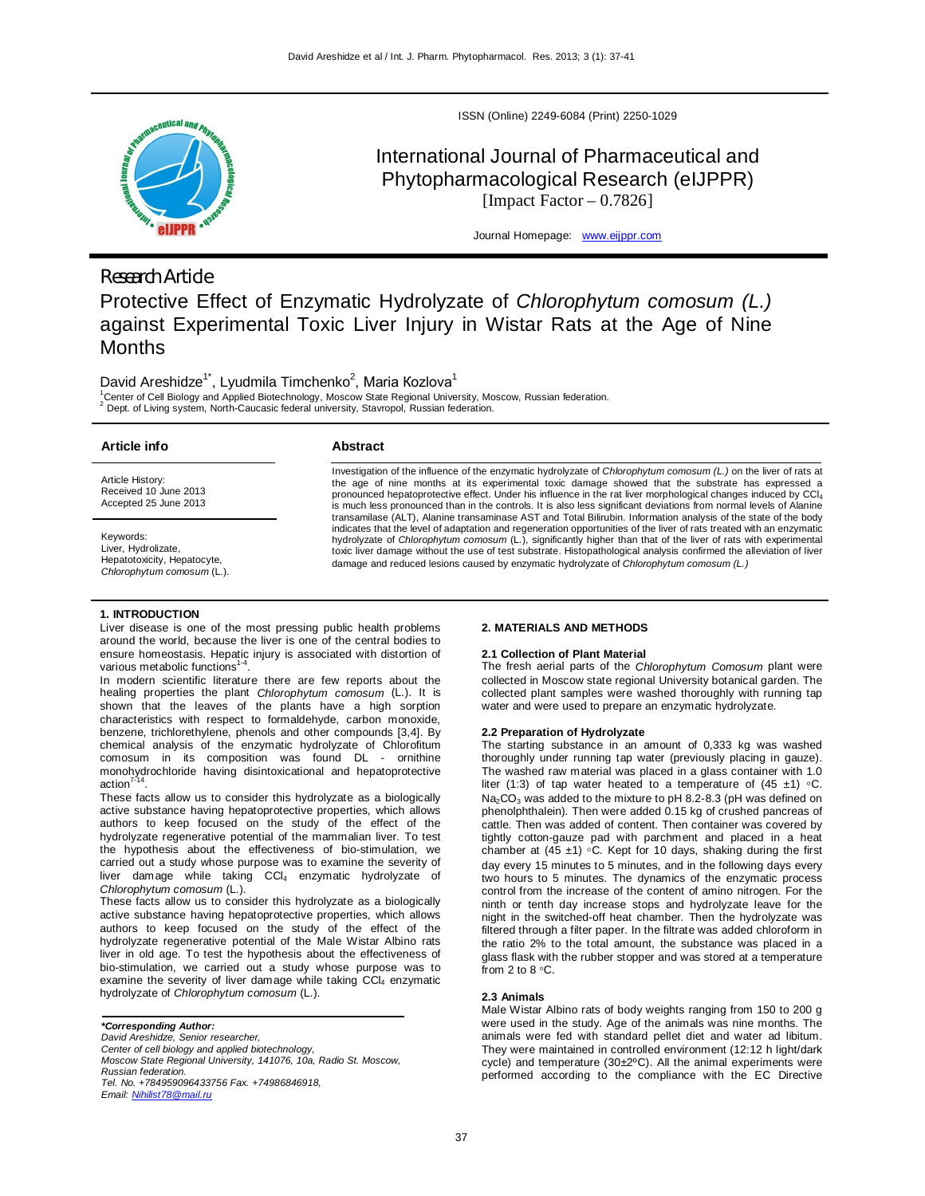

# *Research Article*

Protective Effect of Enzymatic Hydrolyzate of *Chlorophytum comosum (L.)* against Experimental Toxic Liver Injury in Wistar Rats at the Age of Nine Months

David Areshidze<sup>1\*</sup>, Lyudmila Timchenko<sup>2</sup>, Maria Kozlova<sup>1</sup>

<sup>1</sup>Center of Cell Biology and Applied Biotechnology, Moscow State Regional University, Moscow, Russian federation.<br><sup>2</sup> Deat of Living system, Nath Causasia faderal university, Chausead, Duncie faderation. Dept. of Living system, North-Caucasic federal university, Stavropol, Russian federation.

## **Article info**

Article History: Received 10 June 2013 Accepted 25 June 2013

Keywords: Liver, Hydrolizate, Hepatotoxicity, Hepatocyte, *Chlorophytum comosum* (L.).

## **Abstract**

Investigation of the influence of the enzymatic hydrolyzate of *Chlorophytum comosum (L.)* on the liver of rats at<br>the age of nine months at its experimental toxic damage showed that the substrate has expressed a pronounced hepatoprotective effect. Under his influence in the rat liver morphological changes induced by CCl<sub>4</sub> is much less pronounced than in the controls. It is also less significant deviations from normal levels of Alanine transamilase (ALT), Alanine transaminase AST and Total Bilirubin. Information analysis of the state of the body indicates that the level of adaptation and regeneration opportunities of the liver of rats treated with an enzymatic hydrolyzate of *Chlorophytum comosum* (L.), significantly higher than that of the liver of rats with experimental toxic liver damage without the use of test substrate. Histopathological analysis confirmed the alleviation of liver damage and reduced lesions caused by enzymatic hydrolyzate of *Chlorophytum comosum (L.)*

ISSN (Online) 2249-6084 (Print) 2250-1029

International Journal of Pharmaceutical and Phytopharmacological Research (eIJPPR) [Impact Factor  $-0.7826$ ]

Journal Homepage: www.eijppr.com

## **1. INTRODUCTION**

Liver disease is one of the most pressing public health problems around the world, because the liver is one of the central bodies to ensure homeostasis. Hepatic injury is associated with distortion of various metabolic functions<sup>1-4</sup>.

In modern scientific literature there are few reports about the healing properties the plant *Chlorophytum comosum* (L.). It is shown that the leaves of the plants have a high sorption characteristics with respect to formaldehyde, carbon monoxide, benzene, trichlorethylene, phenols and other compounds [3,4]. By chemical analysis of the enzymatic hydrolyzate of Chlorofitum comosum in its composition was found DL - ornithine monohydrochloride having disintoxicational and hepatoprotective action $7$ .

These facts allow us to consider this hydrolyzate as a biologically active substance having hepatoprotective properties, which allows authors to keep focused on the study of the effect of the hydrolyzate regenerative potential of the mammalian liver. To test the hypothesis about the effectiveness of bio-stimulation, we carried out a study whose purpose was to examine the severity of liver damage while taking CCl<sub>4</sub> enzymatic hydrolyzate of *Chlorophytum comosum* (L.).

These facts allow us to consider this hydrolyzate as a biologically active substance having hepatoprotective properties, which allows authors to keep focused on the study of the effect of the hydrolyzate regenerative potential of the Male Wistar Albino rats liver in old age. To test the hypothesis about the effectiveness of bio-stimulation, we carried out a study whose purpose was to examine the severity of liver damage while taking CCl4 enzymatic hydrolyzate of *Chlorophytum comosum* (L.).

*\*Corresponding Author:*

*David Areshidze, Senior researcher,* 

*Center of cell biology and applied biotechnology,*

*Moscow State Regional University, 141076, 10a, Radio St. Moscow, Russian federation.* 

*Tel. No. +784959096433756 Fax. +74986846918, Email: Nihilist78@mail.ru*

**2. MATERIALS AND METHODS**

## **2.1 Collection of Plant Material**

The fresh aerial parts of the *Chlorophytum Comosum* plant were collected in Moscow state regional University botanical garden. The collected plant samples were washed thoroughly with running tap water and were used to prepare an enzymatic hydrolyzate.

#### **2.2 Preparation of Hydrolyzate**

The starting substance in an amount of 0,333 kg was washed thoroughly under running tap water (previously placing in gauze). The washed raw material was placed in a glass container with 1.0 liter (1:3) of tap water heated to a temperature of (45  $\pm$ 1) °C.  $Na<sub>2</sub>CO<sub>3</sub>$  was added to the mixture to pH 8.2-8.3 (pH was defined on phenolphthalein). Then were added 0.15 kg of crushed pancreas of cattle. Then was added of content. Then container was covered by tightly cotton-gauze pad with parchment and placed in a heat chamber at  $(45 \pm 1)$  °C. Kept for 10 days, shaking during the first day every 15 minutes to 5 minutes, and in the following days every two hours to 5 minutes. The dynamics of the enzymatic process control from the increase of the content of amino nitrogen. For the ninth or tenth day increase stops and hydrolyzate leave for the night in the switched-off heat chamber. Then the hydrolyzate was filtered through a filter paper. In the filtrate was added chloroform in the ratio 2% to the total amount, the substance was placed in a glass flask with the rubber stopper and was stored at a temperature from  $2$  to  $8$   $^{\circ}$ C.

#### **2.3 Animals**

Male Wistar Albino rats of body weights ranging from 150 to 200 g were used in the study. Age of the animals was nine months. The animals were fed with standard pellet diet and water ad libitum. They were maintained in controlled environment (12:12 h light/dark cycle) and temperature (30±2ºC). All the animal experiments were performed according to the compliance with the EC Directive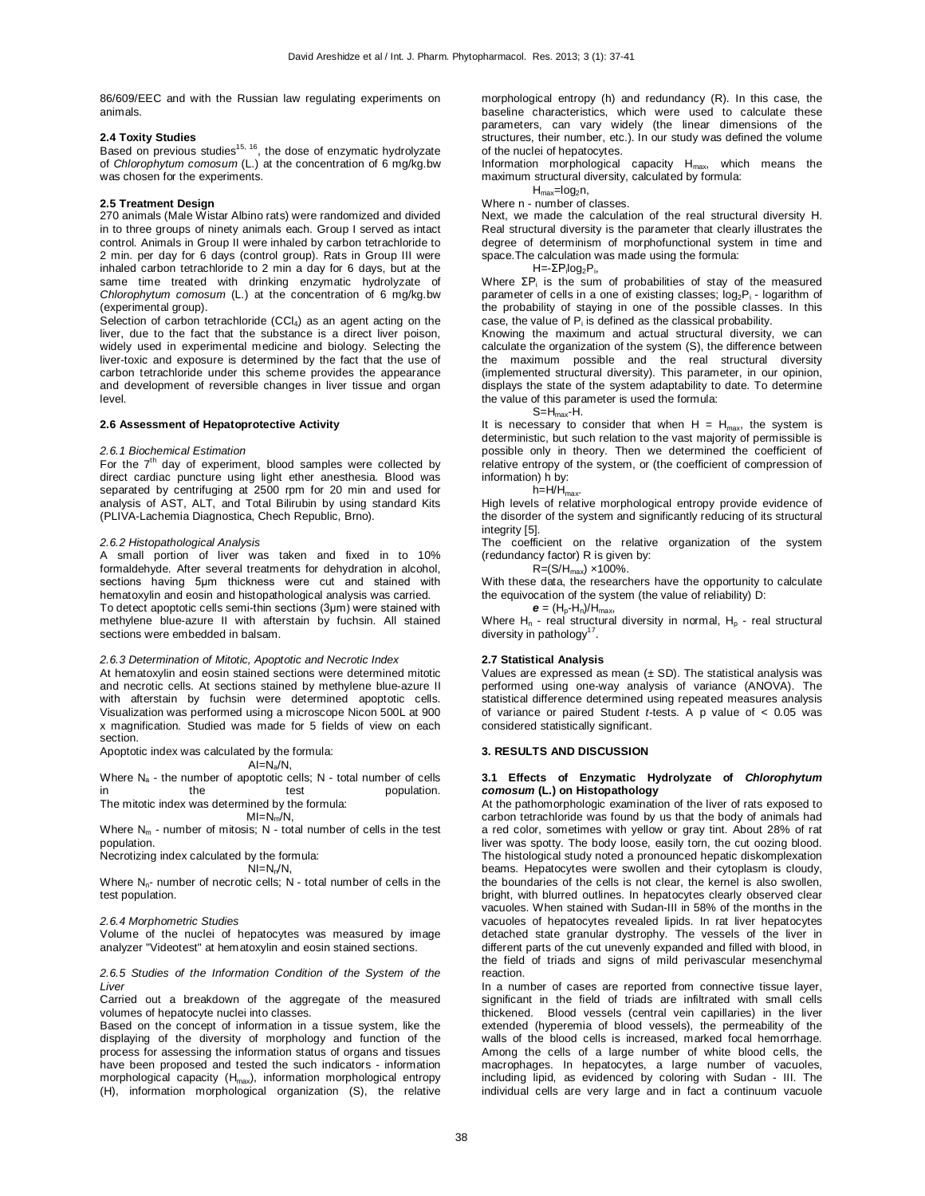86/609/EEC and with the Russian law regulating experiments on animals.

#### **2.4 Toxity Studies**

Based on previous studies<sup>15, 16</sup>, the dose of enzymatic hydrolyzate of *Chlorophytum comosum* (L.) at the concentration of 6 mg/kg.bw was chosen for the experiments.

#### **2.5 Treatment Design**

270 animals (Male Wistar Albino rats) were randomized and divided in to three groups of ninety animals each. Group I served as intact control. Animals in Group II were inhaled by carbon tetrachloride to 2 min. per day for 6 days (control group). Rats in Group III were inhaled carbon tetrachloride to 2 min a day for 6 days, but at the same time treated with drinking enzymatic hydrolyzate of *Chlorophytum comosum* (L.) at the concentration of 6 mg/kg.bw (experimental group).

Selection of carbon tetrachloride  $(CCI<sub>4</sub>)$  as an agent acting on the liver, due to the fact that the substance is a direct liver poison, widely used in experimental medicine and biology. Selecting the liver-toxic and exposure is determined by the fact that the use of carbon tetrachloride under this scheme provides the appearance and development of reversible changes in liver tissue and organ level.

#### **2.6 Assessment of Hepatoprotective Activity**

#### *2.6.1 Biochemical Estimation*

For the  $7<sup>th</sup>$  day of experiment, blood samples were collected by direct cardiac puncture using light ether anesthesia. Blood was separated by centrifuging at 2500 rpm for 20 min and used for analysis of AST, ALT, and Total Bilirubin by using standard Kits (PLIVA-Lachemia Diagnostica, Chech Republic, Brno).

## *2.6.2 Histopathological Analysis*

A small portion of liver was taken and fixed in to 10% formaldehyde. After several treatments for dehydration in alcohol, sections having 5µm thickness were cut and stained with hematoxylin and eosin and histopathological analysis was carried. To detect apoptotic cells semi-thin sections (3μm) were stained with methylene blue-azure II with afterstain by fuchsin. All stained sections were embedded in balsam.

#### *2.6.3 Determination of Mitotic, Apoptotic and Necrotic Index*

At hematoxylin and eosin stained sections were determined mitotic and necrotic cells. At sections stained by methylene blue-azure II with afterstain by fuchsin were determined apoptotic cells. Visualization was performed using a microscope Nicon 500L at 900 x magnification. Studied was made for 5 fields of view on each section.

Apoptotic index was calculated by the formula:

AI=Na/N,

Where  $N_a$  - the number of apoptotic cells; N - total number of cells<br>in the test population. in the test population. The mitotic index was determined by the formula:

#### $MI=N_m/N$ ,

Where  $N_m$  - number of mitosis; N - total number of cells in the test population.

Necrotizing index calculated by the formula:

 $NI=N_n/N$ ,

Where N<sub>n</sub>- number of necrotic cells; N - total number of cells in the test population.

#### *2.6.4 Morphometric Studies*

Volume of the nuclei of hepatocytes was measured by image analyzer "Videotest" at hematoxylin and eosin stained sections.

*2.6.5 Studies of the Information Condition of the System of the Liver*

Carried out a breakdown of the aggregate of the measured volumes of hepatocyte nuclei into classes.

Based on the concept of information in a tissue system, like the displaying of the diversity of morphology and function of the process for assessing the information status of organs and tissues have been proposed and tested the such indicators - information morphological capacity  $(H_{max})$ , information morphological entropy (H), information morphological organization (S), the relative

morphological entropy (h) and redundancy (R). In this case, the baseline characteristics, which were used to calculate these parameters, can vary widely (the linear dimensions of the structures, their number, etc.). In our study was defined the volume of the nuclei of hepatocytes.

Information morphological capacity  $H_{\text{max}}$ , which means the maximum structural diversity, calculated by formula:

 $H<sub>max</sub>=log<sub>2</sub>n$ ,

Where n - number of classes.

Next, we made the calculation of the real structural diversity Н. Real structural diversity is the parameter that clearly illustrates the degree of determinism of morphofunctional system in time and space.The calculation was made using the formula:

H=-ΣP<sub>i</sub>log<sub>2</sub>P<sub>i</sub>,

Where  $\Sigma P_i$  is the sum of probabilities of stay of the measured parameter of cells in a one of existing classes;  $log_2P_i$  - logarithm of the probability of staying in one of the possible classes. In this case, the value of  $P_i$  is defined as the classical probability.

Knowing the maximum and actual structural diversity, we can calculate the organization of the system (S), the difference between the maximum possible and the real structural diversity (implemented structural diversity). This parameter, in our opinion, displays the state of the system adaptability to date. To determine the value of this parameter is used the formula:

 $S=H_{max}-H$ .

It is necessary to consider that when  $H = H_{max}$ , the system is deterministic, but such relation to the vast majority of permissible is possible only in theory. Then we determined the coefficient of relative entropy of the system, or (the coefficient of compression of information) h by:

 $h=H/H_{max}$ 

High levels of relative morphological entropy provide evidence of the disorder of the system and significantly reducing of its structural integrity [5].

The coefficient on the relative organization of the system (redundancy factor) R is given by:

 $R = (S/H_{max}) \times 100\%$ .

With these data, the researchers have the opportunity to calculate the equivocation of the system (the value of reliability) D:

 $e = (H_p - H_n)/H_{max}$ 

Where  $H_n$  - real structural diversity in normal,  $H_p$  - real structural diversity in pathology<sup>17</sup>.

#### **2.7 Statistical Analysis**

Values are expressed as mean  $(\pm SD)$ . The statistical analysis was performed using one-way analysis of variance (ANOVA). The statistical difference determined using repeated measures analysis of variance or paired Student *t*-tests. A p value of < 0.05 was considered statistically significant.

## **3. RESULTS AND DISCUSSION**

#### **3.1 Effects of Enzymatic Hydrolyzate of** *Chlorophytum comosum* **(L.) on Histopathology**

At the pathomorphologic examination of the liver of rats exposed to carbon tetrachloride was found by us that the body of animals had a red color, sometimes with yellow or gray tint. About 28% of rat liver was spotty. The body loose, easily torn, the cut oozing blood. The histological study noted a pronounced hepatic diskomplexation beams. Hepatocytes were swollen and their cytoplasm is cloudy, the boundaries of the cells is not clear, the kernel is also swollen, bright, with blurred outlines. In hepatocytes clearly observed clear vacuoles. When stained with Sudan-III in 58% of the months in the vacuoles of hepatocytes revealed lipids. In rat liver hepatocytes detached state granular dystrophy. The vessels of the liver in different parts of the cut unevenly expanded and filled with blood, in the field of triads and signs of mild perivascular mesenchymal reaction.

In a number of cases are reported from connective tissue layer, significant in the field of triads are infiltrated with small cells thickened. Blood vessels (central vein capillaries) in the liver extended (hyperemia of blood vessels), the permeability of the walls of the blood cells is increased, marked focal hemorrhage. Among the cells of a large number of white blood cells, the macrophages. In hepatocytes, a large number of vacuoles, including lipid, as evidenced by coloring with Sudan - III. The individual cells are very large and in fact a continuum vacuole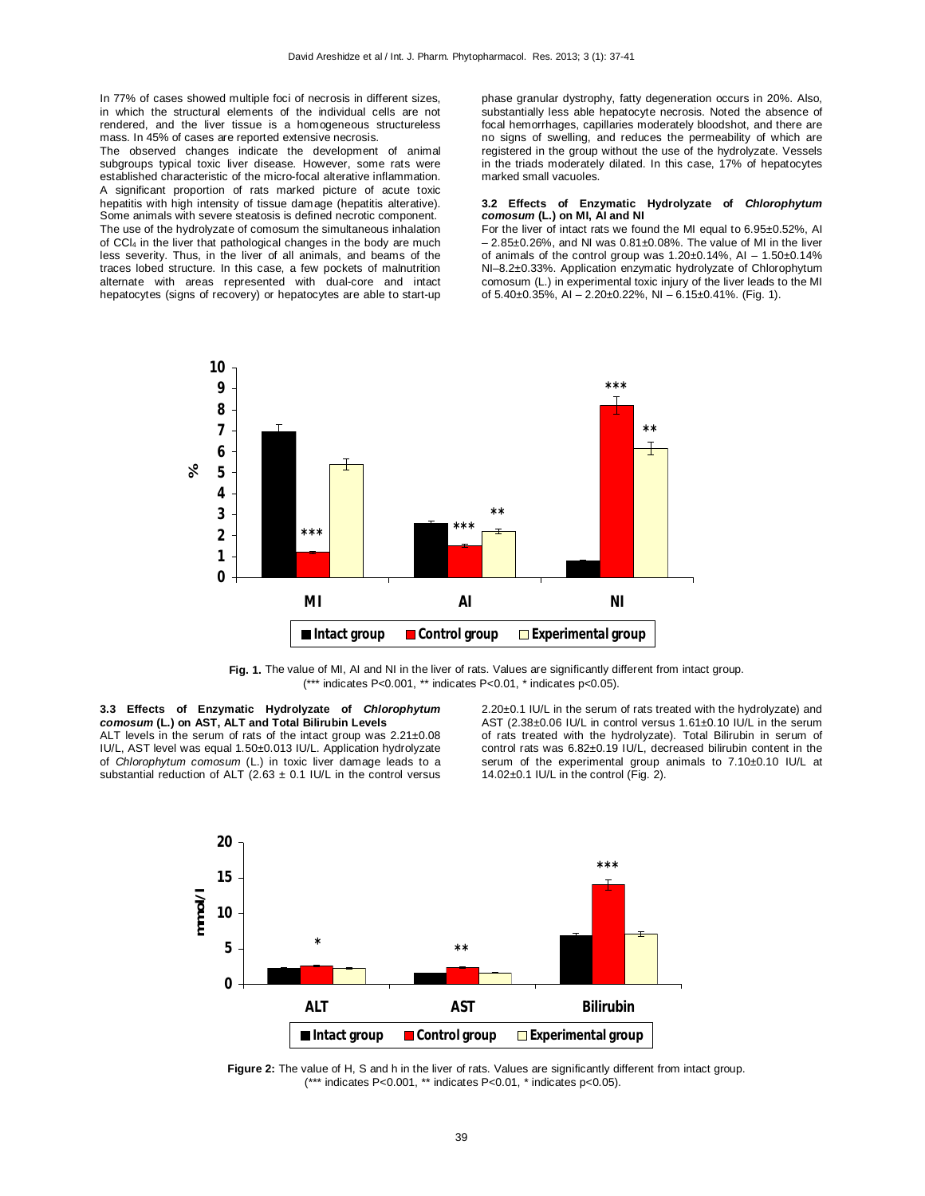In 77% of cases showed multiple foci of necrosis in different sizes, in which the structural elements of the individual cells are not rendered, and the liver tissue is a homogeneous structureless mass. In 45% of cases are reported extensive necrosis.

The observed changes indicate the development of animal subgroups typical toxic liver disease. However, some rats were established characteristic of the micro-focal alterative inflammation. A significant proportion of rats marked picture of acute toxic hepatitis with high intensity of tissue damage (hepatitis alterative). Some animals with severe steatosis is defined necrotic component. The use of the hydrolyzate of comosum the simultaneous inhalation of CCl<sup>4</sup> in the liver that pathological changes in the body are much less severity. Thus, in the liver of all animals, and beams of the traces lobed structure. In this case, a few pockets of malnutrition alternate with areas represented with dual-core and intact hepatocytes (signs of recovery) or hepatocytes are able to start-up

phase granular dystrophy, fatty degeneration occurs in 20%. Also, substantially less able hepatocyte necrosis. Noted the absence of focal hemorrhages, capillaries moderately bloodshot, and there are no signs of swelling, and reduces the permeability of which are registered in the group without the use of the hydrolyzate. Vessels in the triads moderately dilated. In this case, 17% of hepatocytes marked small vacuoles.

#### **3.2 Effects of Enzymatic Hydrolyzate of** *Chlorophytum comosum* **(L.) on MI, AI and NI**

For the liver of intact rats we found the MI equal to 6.95±0.52%, AI – 2.85±0.26%, and NI was 0.81±0.08%. The value of MI in the liver of animals of the control group was  $1.20\pm0.14\%$ , AI -  $1.50\pm0.14\%$ NI–8.2±0.33%. Application enzymatic hydrolyzate of Chlorophytum comosum (L.) in experimental toxic injury of the liver leads to the MI of  $5.40\pm0.35\%$ , AI –  $2.20\pm0.22\%$ , NI –  $6.15\pm0.41\%$ . (Fig. 1).



**Fig. 1.** The value of MI, AI and NI in the liver of rats. Values are significantly different from intact group. (\*\*\* indicates P<0.001, \*\* indicates P<0.01, \* indicates p<0.05).

## **3.3 Effects of Enzymatic Hydrolyzate of** *Chlorophytum comosum* **(L.) on AST, ALT and Total Bilirubin Levels** ALT levels in the serum of rats of the intact group was 2.21±0.08

IU/L, AST level was equal 1.50±0.013 IU/L. Application hydrolyzate of *Chlorophytum comosum* (L.) in toxic liver damage leads to a substantial reduction of ALT (2.63  $\pm$  0.1 IU/L in the control versus

2.20±0.1 IU/L in the serum of rats treated with the hydrolyzate) and AST (2.38±0.06 IU/L in control versus 1.61±0.10 IU/L in the serum of rats treated with the hydrolyzate). Total Bilirubin in serum of control rats was 6.82±0.19 IU/L, decreased bilirubin content in the serum of the experimental group animals to 7.10±0.10 IU/L at 14.02±0.1 IU/L in the control (Fig. 2).



**Figure 2:** The value of H, S and h in the liver of rats. Values are significantly different from intact group. (\*\*\* indicates P<0.001, \*\* indicates P<0.01, \* indicates p<0.05).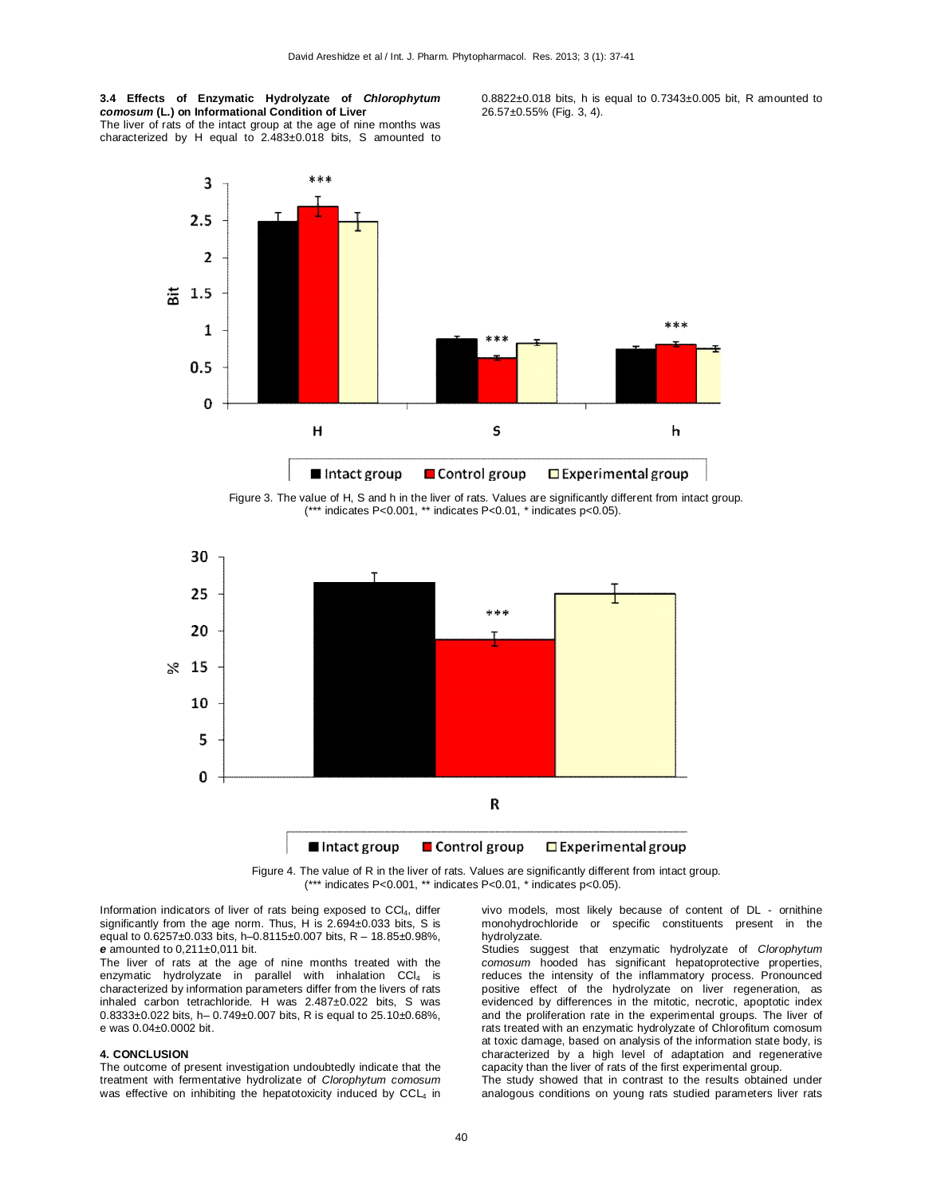**3.4 Effects of Enzymatic Hydrolyzate of** *Chlorophytum comosum* **(L.) on Informational Condition of Liver** The liver of rats of the intact group at the age of nine months was characterized by H equal to 2.483±0.018 bits, S amounted to 0.8822±0.018 bits, h is equal to 0.7343±0.005 bit, R amounted to 26.57±0.55% (Fig. 3, 4).



Figure 3. The value of H, S and h in the liver of rats. Values are significantly different from intact group. (\*\*\* indicates P<0.001, \*\* indicates P<0.01, \* indicates p<0.05).



Figure 4. The value of R in the liver of rats. Values are significantly different from intact group. (\*\*\* indicates P<0.001, \*\* indicates P<0.01, \* indicates p<0.05).

Information indicators of liver of rats being exposed to CCI<sub>4</sub>, differ significantly from the age norm. Thus, H is 2.694±0.033 bits, S is equal to 0.6257±0.033 bits, h–0.8115±0.007 bits, R – 18.85±0.98%, *e* amounted to 0,211±0,011 bit.

The liver of rats at the age of nine months treated with the enzymatic hydrolyzate in parallel with inhalation  $CCI<sub>4</sub>$  is characterized by information parameters differ from the livers of rats inhaled carbon tetrachloride. H was 2.487±0.022 bits, S was 0.8333±0.022 bits, h– 0.749±0.007 bits, R is equal to 25.10±0.68%, e was 0.04±0.0002 bit.

## **4. CONCLUSION**

The outcome of present investigation undoubtedly indicate that the treatment with fermentative hydrolizate of *Clorophytum comosum* was effective on inhibiting the hepatotoxicity induced by CCL4 in vivo models, most likely because of content of DL - ornithine monohydrochloride or specific constituents present in the hydrolyzate.

Studies suggest that enzymatic hydrolyzate of *Clorophytum comosum* hooded has significant hepatoprotective properties, reduces the intensity of the inflammatory process. Pronounced positive effect of the hydrolyzate on liver regeneration, as evidenced by differences in the mitotic, necrotic, apoptotic index and the proliferation rate in the experimental groups. The liver of rats treated with an enzymatic hydrolyzate of Chlorofitum comosum at toxic damage, based on analysis of the information state body, is characterized by a high level of adaptation and regenerative capacity than the liver of rats of the first experimental group.

The study showed that in contrast to the results obtained under analogous conditions on young rats studied parameters liver rats